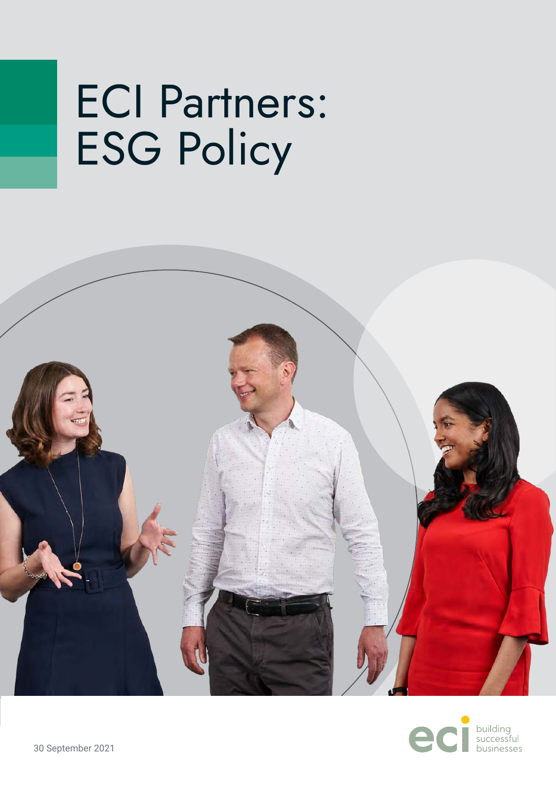# ECI Partners: ESG Policy



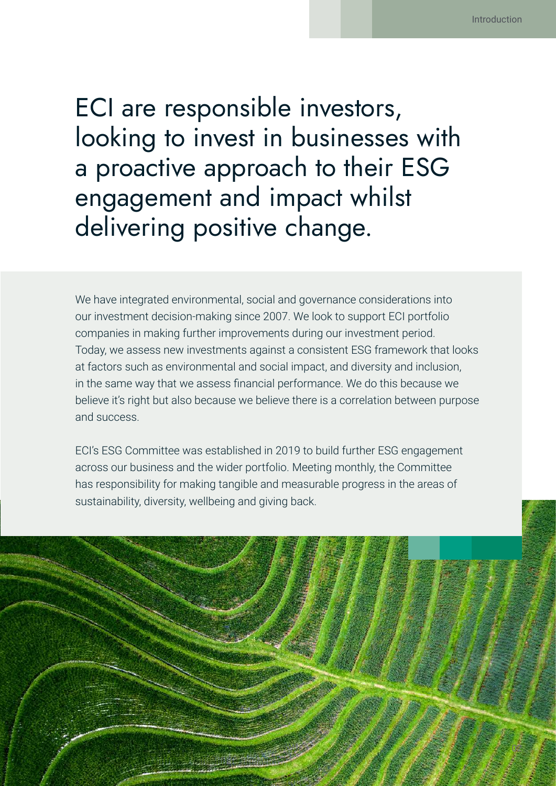02

ECI are responsible investors, looking to invest in businesses with a proactive approach to their ESG engagement and impact whilst delivering positive change.

We have integrated environmental, social and governance considerations into our investment decision-making since 2007. We look to support ECI portfolio companies in making further improvements during our investment period. Today, we assess new investments against a consistent ESG framework that looks at factors such as environmental and social impact, and diversity and inclusion, in the same way that we assess financial performance. We do this because we believe it's right but also because we believe there is a correlation between purpose and success.

ECI's ESG Committee was established in 2019 to build further ESG engagement across our business and the wider portfolio. Meeting monthly, the Committee has responsibility for making tangible and measurable progress in the areas of sustainability, diversity, wellbeing and giving back.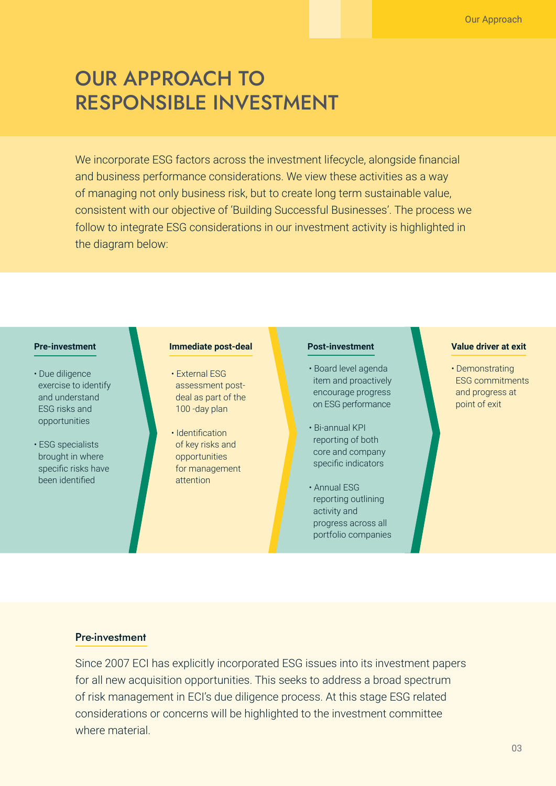## OUR APPROACH TO RESPONSIBLE INVESTMENT

We incorporate ESG factors across the investment lifecycle, alongside financial and business performance considerations. We view these activities as a way of managing not only business risk, but to create long term sustainable value, consistent with our objective of 'Building Successful Businesses'. The process we follow to integrate ESG considerations in our investment activity is highlighted in the diagram below:

#### **Pre-investment**

- Due diligence exercise to identify and understand ESG risks and opportunities
- ESG specialists brought in where specific risks have been identified

#### **Immediate post-deal**

- External ESG assessment post deal as part of the 100 -day plan
- Identification of key risks and opportunities for management attention

- Board level agenda item and proactively encourage progress on ESG performance
- Bi-annual KPI reporting of both core and company specific indicators
- Annual ESG reporting outlining activity and progress across all portfolio companies

#### **Post-investment** Value driver at exit

• Demonstrating ESG commitments and progress at point of exit

#### Pre-investment

Since 2007 ECI has explicitly incorporated ESG issues into its investment papers for all new acquisition opportunities. This seeks to address a broad spectrum of risk management in ECI's due diligence process. At this stage ESG related considerations or concerns will be highlighted to the investment committee where material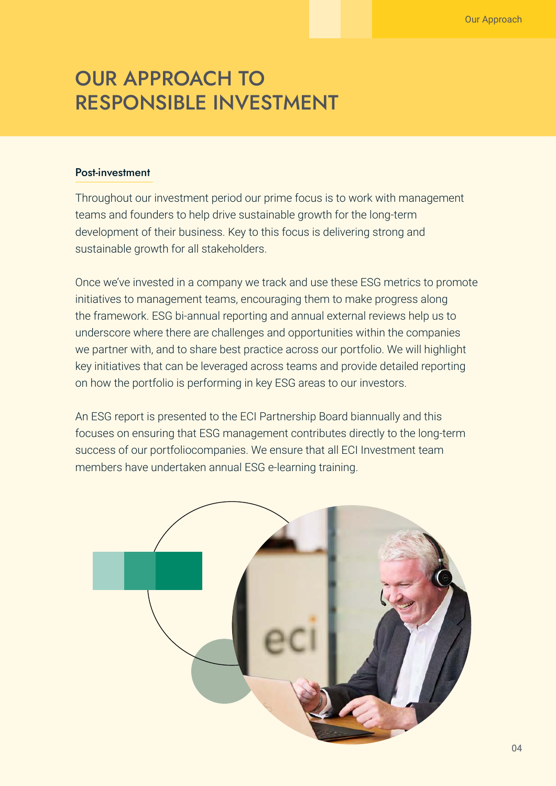## OUR APPROACH TO RESPONSIBLE INVESTMENT

#### Post-investment

Throughout our investment period our prime focus is to work with management teams and founders to help drive sustainable growth for the long-term development of their business. Key to this focus is delivering strong and sustainable growth for all stakeholders.

Once we've invested in a company we track and use these ESG metrics to promote initiatives to management teams, encouraging them to make progress along the framework. ESG bi-annual reporting and annual external reviews help us to underscore where there are challenges and opportunities within the companies we partner with, and to share best practice across our portfolio. We will highlight key initiatives that can be leveraged across teams and provide detailed reporting on how the portfolio is performing in key ESG areas to our investors.

An ESG report is presented to the ECI Partnership Board biannually and this focuses on ensuring that ESG management contributes directly to the long-term success of our portfoliocompanies. We ensure that all ECI Investment team members have undertaken annual ESG e-learning training.

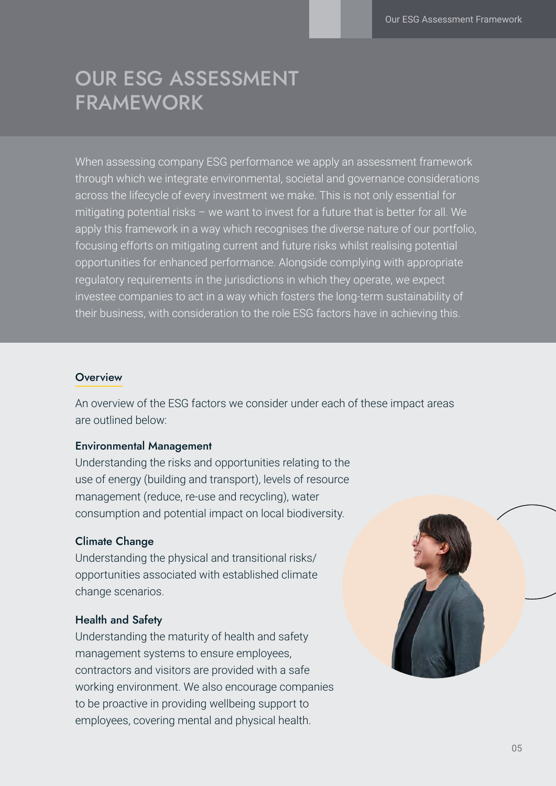## OUR ESG ASSESSMENT FRAMEWORK

When assessing company ESG performance we apply an assessment framework through which we integrate environmental, societal and governance considerations across the lifecycle of every investment we make. This is not only essential for mitigating potential risks – we want to invest for a future that is better for all. We apply this framework in a way which recognises the diverse nature of our portfolio, focusing efforts on mitigating current and future risks whilst realising potential opportunities for enhanced performance. Alongside complying with appropriate regulatory requirements in the jurisdictions in which they operate, we expect investee companies to act in a way which fosters the long-term sustainability of their business, with consideration to the role ESG factors have in achieving this.

#### **Overview**

An overview of the ESG factors we consider under each of these impact areas are outlined below:

#### Environmental Management

Understanding the risks and opportunities relating to the use of energy (building and transport), levels of resource management (reduce, re-use and recycling), water consumption and potential impact on local biodiversity.

#### Climate Change

Understanding the physical and transitional risks/ opportunities associated with established climate change scenarios.

### Health and Safety

Understanding the maturity of health and safety management systems to ensure employees, contractors and visitors are provided with a safe working environment. We also encourage companies to be proactive in providing wellbeing support to employees, covering mental and physical health.

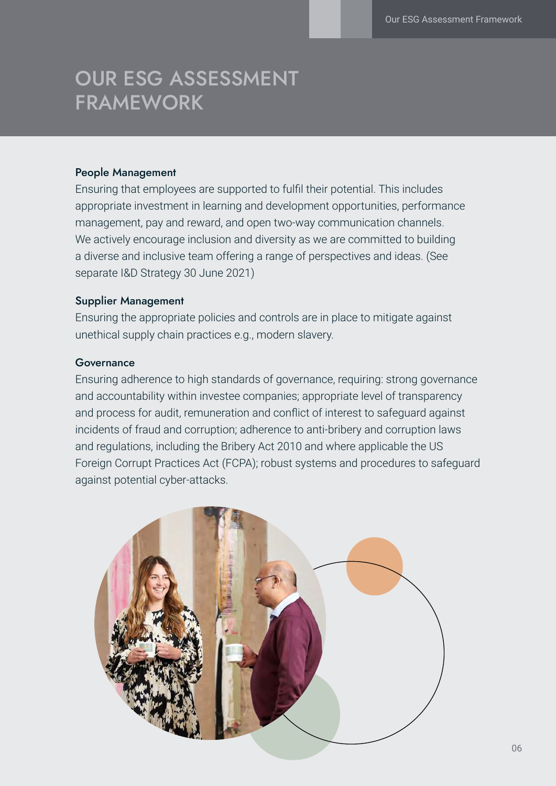## OUR ESG ASSESSMENT FRAMEWORK

#### People Management

Ensuring that employees are supported to fulfil their potential. This includes appropriate investment in learning and development opportunities, performance management, pay and reward, and open two-way communication channels. We actively encourage inclusion and diversity as we are committed to building a diverse and inclusive team offering a range of perspectives and ideas. (See separate I&D Strategy 30 June 2021)

#### Supplier Management

Ensuring the appropriate policies and controls are in place to mitigate against unethical supply chain practices e.g., modern slavery.

#### **Governance**

Ensuring adherence to high standards of governance, requiring: strong governance and accountability within investee companies; appropriate level of transparency and process for audit, remuneration and conflict of interest to safeguard against incidents of fraud and corruption; adherence to anti-bribery and corruption laws and regulations, including the Bribery Act 2010 and where applicable the US Foreign Corrupt Practices Act (FCPA); robust systems and procedures to safeguard against potential cyber-attacks.

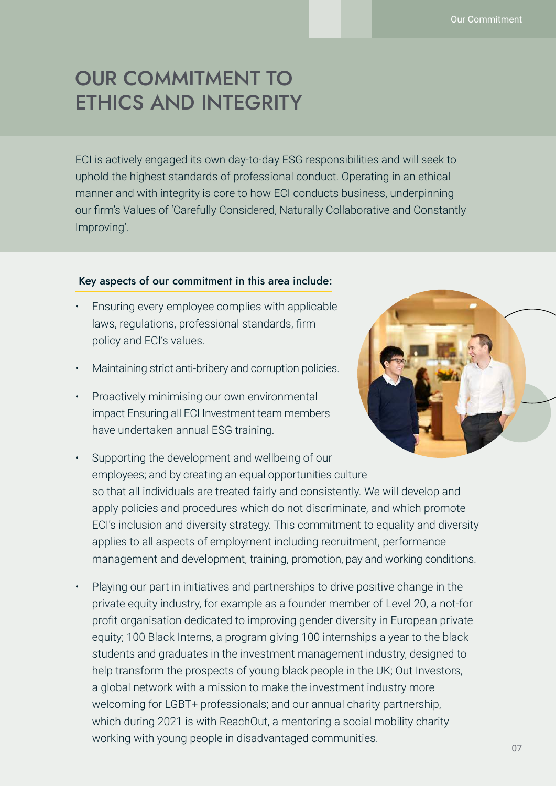## OUR COMMITMENT TO ETHICS AND INTEGRITY

ECI is actively engaged its own day-to-day ESG responsibilities and will seek to uphold the highest standards of professional conduct. Operating in an ethical manner and with integrity is core to how ECI conducts business, underpinning our firm's Values of 'Carefully Considered, Naturally Collaborative and Constantly Improving'.

#### Key aspects of our commitment in this area include:

- Ensuring every employee complies with applicable laws, regulations, professional standards, firm policy and ECI's values.
- Maintaining strict anti-bribery and corruption policies.
- Proactively minimising our own environmental impact Ensuring all ECI Investment team members have undertaken annual ESG training.



- Supporting the development and wellbeing of our employees; and by creating an equal opportunities culture so that all individuals are treated fairly and consistently. We will develop and apply policies and procedures which do not discriminate, and which promote ECI's inclusion and diversity strategy. This commitment to equality and diversity applies to all aspects of employment including recruitment, performance management and development, training, promotion, pay and working conditions.
- Playing our part in initiatives and partnerships to drive positive change in the private equity industry, for example as a founder member of Level 20, a not-for profit organisation dedicated to improving gender diversity in European private equity; 100 Black Interns, a program giving 100 internships a year to the black students and graduates in the investment management industry, designed to help transform the prospects of young black people in the UK; Out Investors, a global network with a mission to make the investment industry more welcoming for LGBT+ professionals; and our annual charity partnership, which during 2021 is with ReachOut, a mentoring a social mobility charity working with young people in disadvantaged communities.